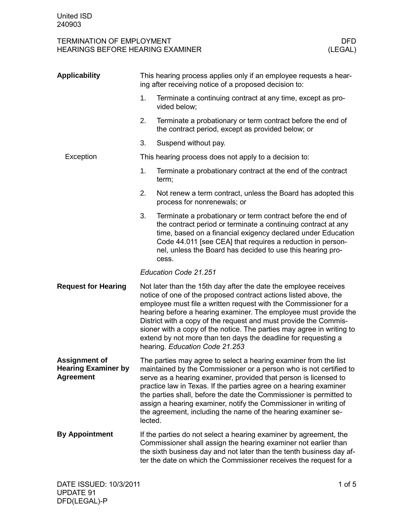| <b>Applicability</b>                                                   |                                                                                                                                                                                                                                                                                                                                                                                                                                                                                                                               | This hearing process applies only if an employee requests a hear-<br>ing after receiving notice of a proposed decision to:                                                                                                                                                                                                                                                                                                                                                                  |
|------------------------------------------------------------------------|-------------------------------------------------------------------------------------------------------------------------------------------------------------------------------------------------------------------------------------------------------------------------------------------------------------------------------------------------------------------------------------------------------------------------------------------------------------------------------------------------------------------------------|---------------------------------------------------------------------------------------------------------------------------------------------------------------------------------------------------------------------------------------------------------------------------------------------------------------------------------------------------------------------------------------------------------------------------------------------------------------------------------------------|
|                                                                        | 1.                                                                                                                                                                                                                                                                                                                                                                                                                                                                                                                            | Terminate a continuing contract at any time, except as pro-<br>vided below;                                                                                                                                                                                                                                                                                                                                                                                                                 |
|                                                                        | 2.                                                                                                                                                                                                                                                                                                                                                                                                                                                                                                                            | Terminate a probationary or term contract before the end of<br>the contract period, except as provided below; or                                                                                                                                                                                                                                                                                                                                                                            |
|                                                                        | 3.                                                                                                                                                                                                                                                                                                                                                                                                                                                                                                                            | Suspend without pay.                                                                                                                                                                                                                                                                                                                                                                                                                                                                        |
| Exception                                                              |                                                                                                                                                                                                                                                                                                                                                                                                                                                                                                                               | This hearing process does not apply to a decision to:                                                                                                                                                                                                                                                                                                                                                                                                                                       |
|                                                                        | 1.                                                                                                                                                                                                                                                                                                                                                                                                                                                                                                                            | Terminate a probationary contract at the end of the contract<br>term;                                                                                                                                                                                                                                                                                                                                                                                                                       |
|                                                                        | 2.                                                                                                                                                                                                                                                                                                                                                                                                                                                                                                                            | Not renew a term contract, unless the Board has adopted this<br>process for nonrenewals; or                                                                                                                                                                                                                                                                                                                                                                                                 |
|                                                                        | 3.                                                                                                                                                                                                                                                                                                                                                                                                                                                                                                                            | Terminate a probationary or term contract before the end of<br>the contract period or terminate a continuing contract at any<br>time, based on a financial exigency declared under Education<br>Code 44.011 [see CEA] that requires a reduction in person-<br>nel, unless the Board has decided to use this hearing pro-<br>cess.                                                                                                                                                           |
|                                                                        | Education Code 21.251                                                                                                                                                                                                                                                                                                                                                                                                                                                                                                         |                                                                                                                                                                                                                                                                                                                                                                                                                                                                                             |
| <b>Request for Hearing</b>                                             | Not later than the 15th day after the date the employee receives<br>notice of one of the proposed contract actions listed above, the<br>employee must file a written request with the Commissioner for a<br>hearing before a hearing examiner. The employee must provide the<br>District with a copy of the request and must provide the Commis-<br>sioner with a copy of the notice. The parties may agree in writing to<br>extend by not more than ten days the deadline for requesting a<br>hearing. Education Code 21.253 |                                                                                                                                                                                                                                                                                                                                                                                                                                                                                             |
| <b>Assignment of</b><br><b>Hearing Examiner by</b><br><b>Agreement</b> | lected.                                                                                                                                                                                                                                                                                                                                                                                                                                                                                                                       | The parties may agree to select a hearing examiner from the list<br>maintained by the Commissioner or a person who is not certified to<br>serve as a hearing examiner, provided that person is licensed to<br>practice law in Texas. If the parties agree on a hearing examiner<br>the parties shall, before the date the Commissioner is permitted to<br>assign a hearing examiner, notify the Commissioner in writing of<br>the agreement, including the name of the hearing examiner se- |
| <b>By Appointment</b>                                                  |                                                                                                                                                                                                                                                                                                                                                                                                                                                                                                                               | If the parties do not select a hearing examiner by agreement, the<br>Commissioner shall assign the hearing examiner not earlier than<br>the sixth business day and not later than the tenth business day af-<br>ter the date on which the Commissioner receives the request for a                                                                                                                                                                                                           |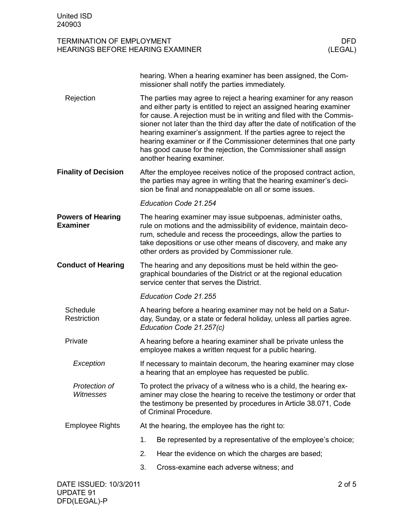|                                             |                                                                                                                                                                                                                                          | hearing. When a hearing examiner has been assigned, the Com-<br>missioner shall notify the parties immediately.                                                                                                                                                                                                                                                                                                                                                                                                                         |  |  |  |
|---------------------------------------------|------------------------------------------------------------------------------------------------------------------------------------------------------------------------------------------------------------------------------------------|-----------------------------------------------------------------------------------------------------------------------------------------------------------------------------------------------------------------------------------------------------------------------------------------------------------------------------------------------------------------------------------------------------------------------------------------------------------------------------------------------------------------------------------------|--|--|--|
| Rejection                                   |                                                                                                                                                                                                                                          | The parties may agree to reject a hearing examiner for any reason<br>and either party is entitled to reject an assigned hearing examiner<br>for cause. A rejection must be in writing and filed with the Commis-<br>sioner not later than the third day after the date of notification of the<br>hearing examiner's assignment. If the parties agree to reject the<br>hearing examiner or if the Commissioner determines that one party<br>has good cause for the rejection, the Commissioner shall assign<br>another hearing examiner. |  |  |  |
| <b>Finality of Decision</b>                 | After the employee receives notice of the proposed contract action,<br>the parties may agree in writing that the hearing examiner's deci-<br>sion be final and nonappealable on all or some issues.                                      |                                                                                                                                                                                                                                                                                                                                                                                                                                                                                                                                         |  |  |  |
|                                             |                                                                                                                                                                                                                                          | Education Code 21.254                                                                                                                                                                                                                                                                                                                                                                                                                                                                                                                   |  |  |  |
| <b>Powers of Hearing</b><br><b>Examiner</b> |                                                                                                                                                                                                                                          | The hearing examiner may issue subpoenas, administer oaths,<br>rule on motions and the admissibility of evidence, maintain deco-<br>rum, schedule and recess the proceedings, allow the parties to<br>take depositions or use other means of discovery, and make any<br>other orders as provided by Commissioner rule.                                                                                                                                                                                                                  |  |  |  |
| <b>Conduct of Hearing</b>                   | The hearing and any depositions must be held within the geo-<br>graphical boundaries of the District or at the regional education<br>service center that serves the District.                                                            |                                                                                                                                                                                                                                                                                                                                                                                                                                                                                                                                         |  |  |  |
|                                             | Education Code 21.255                                                                                                                                                                                                                    |                                                                                                                                                                                                                                                                                                                                                                                                                                                                                                                                         |  |  |  |
| Schedule<br>Restriction                     | A hearing before a hearing examiner may not be held on a Satur-<br>day, Sunday, or a state or federal holiday, unless all parties agree.<br>Education Code 21.257(c)                                                                     |                                                                                                                                                                                                                                                                                                                                                                                                                                                                                                                                         |  |  |  |
| Private                                     | A hearing before a hearing examiner shall be private unless the<br>employee makes a written request for a public hearing.                                                                                                                |                                                                                                                                                                                                                                                                                                                                                                                                                                                                                                                                         |  |  |  |
| Exception                                   | If necessary to maintain decorum, the hearing examiner may close<br>a hearing that an employee has requested be public.                                                                                                                  |                                                                                                                                                                                                                                                                                                                                                                                                                                                                                                                                         |  |  |  |
| Protection of<br><b>Witnesses</b>           | To protect the privacy of a witness who is a child, the hearing ex-<br>aminer may close the hearing to receive the testimony or order that<br>the testimony be presented by procedures in Article 38.071, Code<br>of Criminal Procedure. |                                                                                                                                                                                                                                                                                                                                                                                                                                                                                                                                         |  |  |  |
| <b>Employee Rights</b>                      | At the hearing, the employee has the right to:                                                                                                                                                                                           |                                                                                                                                                                                                                                                                                                                                                                                                                                                                                                                                         |  |  |  |
|                                             | 1.                                                                                                                                                                                                                                       | Be represented by a representative of the employee's choice;                                                                                                                                                                                                                                                                                                                                                                                                                                                                            |  |  |  |
|                                             | 2.                                                                                                                                                                                                                                       | Hear the evidence on which the charges are based;                                                                                                                                                                                                                                                                                                                                                                                                                                                                                       |  |  |  |
|                                             | 3.                                                                                                                                                                                                                                       | Cross-examine each adverse witness; and                                                                                                                                                                                                                                                                                                                                                                                                                                                                                                 |  |  |  |
|                                             |                                                                                                                                                                                                                                          |                                                                                                                                                                                                                                                                                                                                                                                                                                                                                                                                         |  |  |  |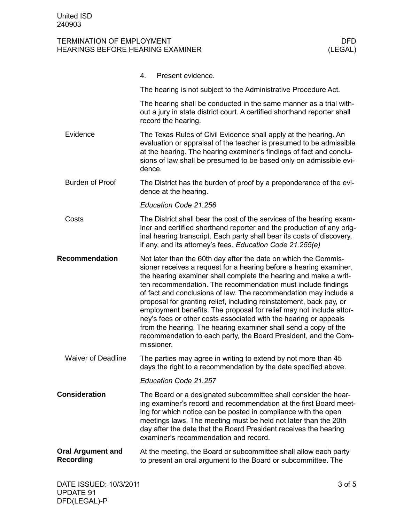|                                              | Present evidence.<br>4.                                                                                                                                                                                                                                                                                                                                                                                                                                                                                                                                                                                                                                                                                             |
|----------------------------------------------|---------------------------------------------------------------------------------------------------------------------------------------------------------------------------------------------------------------------------------------------------------------------------------------------------------------------------------------------------------------------------------------------------------------------------------------------------------------------------------------------------------------------------------------------------------------------------------------------------------------------------------------------------------------------------------------------------------------------|
|                                              | The hearing is not subject to the Administrative Procedure Act.                                                                                                                                                                                                                                                                                                                                                                                                                                                                                                                                                                                                                                                     |
|                                              | The hearing shall be conducted in the same manner as a trial with-<br>out a jury in state district court. A certified shorthand reporter shall<br>record the hearing.                                                                                                                                                                                                                                                                                                                                                                                                                                                                                                                                               |
| Evidence                                     | The Texas Rules of Civil Evidence shall apply at the hearing. An<br>evaluation or appraisal of the teacher is presumed to be admissible<br>at the hearing. The hearing examiner's findings of fact and conclu-<br>sions of law shall be presumed to be based only on admissible evi-<br>dence.                                                                                                                                                                                                                                                                                                                                                                                                                      |
| <b>Burden of Proof</b>                       | The District has the burden of proof by a preponderance of the evi-<br>dence at the hearing.                                                                                                                                                                                                                                                                                                                                                                                                                                                                                                                                                                                                                        |
|                                              | Education Code 21.256                                                                                                                                                                                                                                                                                                                                                                                                                                                                                                                                                                                                                                                                                               |
| Costs                                        | The District shall bear the cost of the services of the hearing exam-<br>iner and certified shorthand reporter and the production of any orig-<br>inal hearing transcript. Each party shall bear its costs of discovery,<br>if any, and its attorney's fees. Education Code 21.255(e)                                                                                                                                                                                                                                                                                                                                                                                                                               |
| <b>Recommendation</b>                        | Not later than the 60th day after the date on which the Commis-<br>sioner receives a request for a hearing before a hearing examiner,<br>the hearing examiner shall complete the hearing and make a writ-<br>ten recommendation. The recommendation must include findings<br>of fact and conclusions of law. The recommendation may include a<br>proposal for granting relief, including reinstatement, back pay, or<br>employment benefits. The proposal for relief may not include attor-<br>ney's fees or other costs associated with the hearing or appeals<br>from the hearing. The hearing examiner shall send a copy of the<br>recommendation to each party, the Board President, and the Com-<br>missioner. |
| <b>Waiver of Deadline</b>                    | The parties may agree in writing to extend by not more than 45<br>days the right to a recommendation by the date specified above.                                                                                                                                                                                                                                                                                                                                                                                                                                                                                                                                                                                   |
|                                              | Education Code 21.257                                                                                                                                                                                                                                                                                                                                                                                                                                                                                                                                                                                                                                                                                               |
| <b>Consideration</b>                         | The Board or a designated subcommittee shall consider the hear-<br>ing examiner's record and recommendation at the first Board meet-<br>ing for which notice can be posted in compliance with the open<br>meetings laws. The meeting must be held not later than the 20th<br>day after the date that the Board President receives the hearing<br>examiner's recommendation and record.                                                                                                                                                                                                                                                                                                                              |
| <b>Oral Argument and</b><br><b>Recording</b> | At the meeting, the Board or subcommittee shall allow each party<br>to present an oral argument to the Board or subcommittee. The                                                                                                                                                                                                                                                                                                                                                                                                                                                                                                                                                                                   |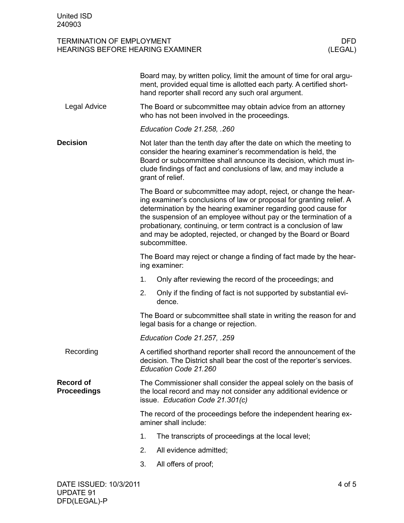|                                        |                                                                                                                                                                                                                                                                                                 | Board may, by written policy, limit the amount of time for oral argu-<br>ment, provided equal time is allotted each party. A certified short-<br>hand reporter shall record any such oral argument.                                                                                                                                                                                                                                     |  |  |  |
|----------------------------------------|-------------------------------------------------------------------------------------------------------------------------------------------------------------------------------------------------------------------------------------------------------------------------------------------------|-----------------------------------------------------------------------------------------------------------------------------------------------------------------------------------------------------------------------------------------------------------------------------------------------------------------------------------------------------------------------------------------------------------------------------------------|--|--|--|
| Legal Advice                           | The Board or subcommittee may obtain advice from an attorney<br>who has not been involved in the proceedings.                                                                                                                                                                                   |                                                                                                                                                                                                                                                                                                                                                                                                                                         |  |  |  |
|                                        |                                                                                                                                                                                                                                                                                                 | Education Code 21.258, .260                                                                                                                                                                                                                                                                                                                                                                                                             |  |  |  |
| <b>Decision</b>                        | Not later than the tenth day after the date on which the meeting to<br>consider the hearing examiner's recommendation is held, the<br>Board or subcommittee shall announce its decision, which must in-<br>clude findings of fact and conclusions of law, and may include a<br>grant of relief. |                                                                                                                                                                                                                                                                                                                                                                                                                                         |  |  |  |
|                                        |                                                                                                                                                                                                                                                                                                 | The Board or subcommittee may adopt, reject, or change the hear-<br>ing examiner's conclusions of law or proposal for granting relief. A<br>determination by the hearing examiner regarding good cause for<br>the suspension of an employee without pay or the termination of a<br>probationary, continuing, or term contract is a conclusion of law<br>and may be adopted, rejected, or changed by the Board or Board<br>subcommittee. |  |  |  |
|                                        |                                                                                                                                                                                                                                                                                                 | The Board may reject or change a finding of fact made by the hear-<br>ing examiner:                                                                                                                                                                                                                                                                                                                                                     |  |  |  |
|                                        | 1.                                                                                                                                                                                                                                                                                              | Only after reviewing the record of the proceedings; and                                                                                                                                                                                                                                                                                                                                                                                 |  |  |  |
|                                        | 2.                                                                                                                                                                                                                                                                                              | Only if the finding of fact is not supported by substantial evi-<br>dence.                                                                                                                                                                                                                                                                                                                                                              |  |  |  |
|                                        | The Board or subcommittee shall state in writing the reason for and<br>legal basis for a change or rejection.                                                                                                                                                                                   |                                                                                                                                                                                                                                                                                                                                                                                                                                         |  |  |  |
|                                        | Education Code 21.257, .259                                                                                                                                                                                                                                                                     |                                                                                                                                                                                                                                                                                                                                                                                                                                         |  |  |  |
| Recording                              | A certified shorthand reporter shall record the announcement of the<br>decision. The District shall bear the cost of the reporter's services.<br>Education Code 21.260                                                                                                                          |                                                                                                                                                                                                                                                                                                                                                                                                                                         |  |  |  |
| <b>Record of</b><br><b>Proceedings</b> | The Commissioner shall consider the appeal solely on the basis of<br>the local record and may not consider any additional evidence or<br>issue. Education Code 21.301(c)                                                                                                                        |                                                                                                                                                                                                                                                                                                                                                                                                                                         |  |  |  |
|                                        | The record of the proceedings before the independent hearing ex-<br>aminer shall include:                                                                                                                                                                                                       |                                                                                                                                                                                                                                                                                                                                                                                                                                         |  |  |  |
|                                        | 1.                                                                                                                                                                                                                                                                                              | The transcripts of proceedings at the local level;                                                                                                                                                                                                                                                                                                                                                                                      |  |  |  |
|                                        | 2.                                                                                                                                                                                                                                                                                              | All evidence admitted;                                                                                                                                                                                                                                                                                                                                                                                                                  |  |  |  |
|                                        | 3.                                                                                                                                                                                                                                                                                              | All offers of proof;                                                                                                                                                                                                                                                                                                                                                                                                                    |  |  |  |
|                                        |                                                                                                                                                                                                                                                                                                 |                                                                                                                                                                                                                                                                                                                                                                                                                                         |  |  |  |